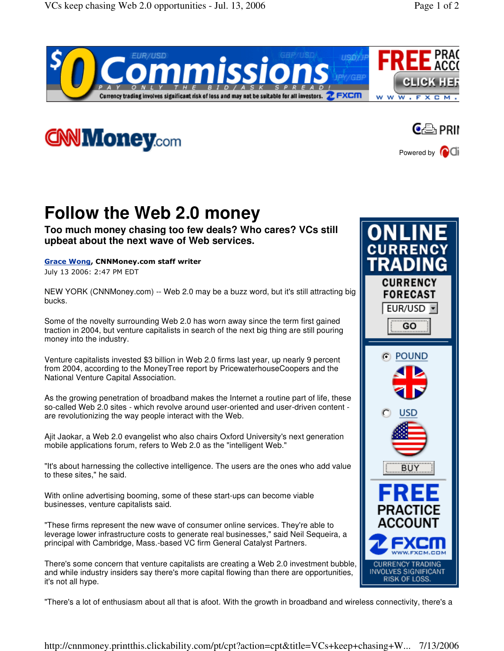





## **Follow the Web 2.0 money**

**Too much money chasing too few deals? Who cares? VCs still upbeat about the next wave of Web services.**

Grace Wong, CNNMoney.com staff writer

July 13 2006: 2:47 PM EDT

NEW YORK (CNNMoney.com) -- Web 2.0 may be a buzz word, but it's still attracting big bucks.

Some of the novelty surrounding Web 2.0 has worn away since the term first gained traction in 2004, but venture capitalists in search of the next big thing are still pouring money into the industry.

Venture capitalists invested \$3 billion in Web 2.0 firms last year, up nearly 9 percent from 2004, according to the MoneyTree report by PricewaterhouseCoopers and the National Venture Capital Association.

As the growing penetration of broadband makes the Internet a routine part of life, these so-called Web 2.0 sites - which revolve around user-oriented and user-driven content are revolutionizing the way people interact with the Web.

Ajit Jaokar, a Web 2.0 evangelist who also chairs Oxford University's next generation mobile applications forum, refers to Web 2.0 as the "intelligent Web."

"It's about harnessing the collective intelligence. The users are the ones who add value to these sites," he said.

With online advertising booming, some of these start-ups can become viable businesses, venture capitalists said.

"These firms represent the new wave of consumer online services. They're able to leverage lower infrastructure costs to generate real businesses," said Neil Sequeira, a principal with Cambridge, Mass.-based VC firm General Catalyst Partners.

There's some concern that venture capitalists are creating a Web 2.0 investment bubble, and while industry insiders say there's more capital flowing than there are opportunities, it's not all hype.



"There's a lot of enthusiasm about all that is afoot. With the growth in broadband and wireless connectivity, there's a